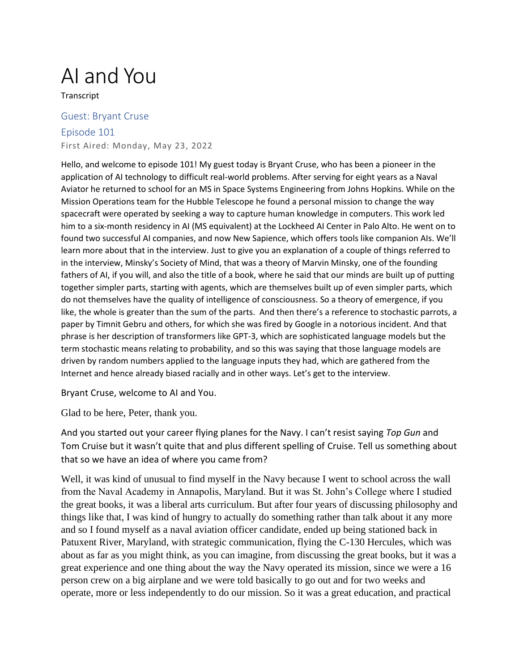## AI and You

**Transcript** 

## Guest: Bryant Cruse

Episode 101 First Aired: Monday, May 23, 2022

Hello, and welcome to episode 101! My guest today is Bryant Cruse, who has been a pioneer in the application of AI technology to difficult real-world problems. After serving for eight years as a Naval Aviator he returned to school for an MS in Space Systems Engineering from Johns Hopkins. While on the Mission Operations team for the Hubble Telescope he found a personal mission to change the way spacecraft were operated by seeking a way to capture human knowledge in computers. This work led him to a six-month residency in AI (MS equivalent) at the Lockheed AI Center in Palo Alto. He went on to found two successful AI companies, and now New Sapience, which offers tools like companion AIs. We'll learn more about that in the interview. Just to give you an explanation of a couple of things referred to in the interview, Minsky's Society of Mind, that was a theory of Marvin Minsky, one of the founding fathers of AI, if you will, and also the title of a book, where he said that our minds are built up of putting together simpler parts, starting with agents, which are themselves built up of even simpler parts, which do not themselves have the quality of intelligence of consciousness. So a theory of emergence, if you like, the whole is greater than the sum of the parts. And then there's a reference to stochastic parrots, a paper by Timnit Gebru and others, for which she was fired by Google in a notorious incident. And that phrase is her description of transformers like GPT-3, which are sophisticated language models but the term stochastic means relating to probability, and so this was saying that those language models are driven by random numbers applied to the language inputs they had, which are gathered from the Internet and hence already biased racially and in other ways. Let's get to the interview.

Bryant Cruse, welcome to AI and You.

Glad to be here, Peter, thank you.

And you started out your career flying planes for the Navy. I can't resist saying *Top Gun* and Tom Cruise but it wasn't quite that and plus different spelling of Cruise. Tell us something about that so we have an idea of where you came from?

Well, it was kind of unusual to find myself in the Navy because I went to school across the wall from the Naval Academy in Annapolis, Maryland. But it was St. John's College where I studied the great books, it was a liberal arts curriculum. But after four years of discussing philosophy and things like that, I was kind of hungry to actually do something rather than talk about it any more and so I found myself as a naval aviation officer candidate, ended up being stationed back in Patuxent River, Maryland, with strategic communication, flying the C-130 Hercules, which was about as far as you might think, as you can imagine, from discussing the great books, but it was a great experience and one thing about the way the Navy operated its mission, since we were a 16 person crew on a big airplane and we were told basically to go out and for two weeks and operate, more or less independently to do our mission. So it was a great education, and practical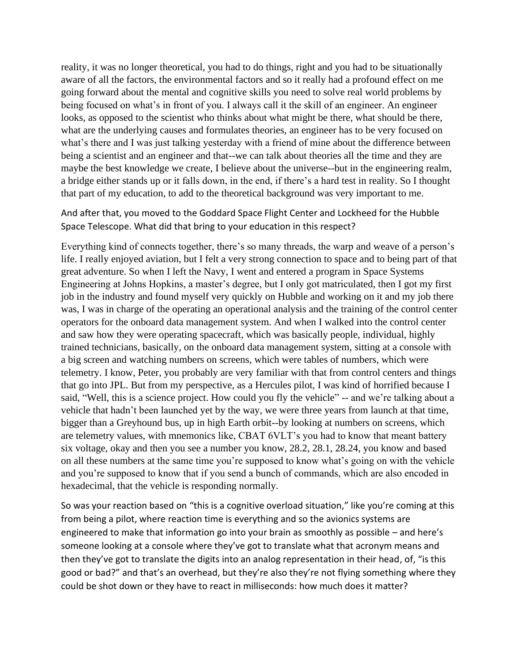reality, it was no longer theoretical, you had to do things, right and you had to be situationally aware of all the factors, the environmental factors and so it really had a profound effect on me going forward about the mental and cognitive skills you need to solve real world problems by being focused on what's in front of you. I always call it the skill of an engineer. An engineer looks, as opposed to the scientist who thinks about what might be there, what should be there, what are the underlying causes and formulates theories, an engineer has to be very focused on what's there and I was just talking yesterday with a friend of mine about the difference between being a scientist and an engineer and that--we can talk about theories all the time and they are maybe the best knowledge we create, I believe about the universe--but in the engineering realm, a bridge either stands up or it falls down, in the end, if there's a hard test in reality. So I thought that part of my education, to add to the theoretical background was very important to me.

And after that, you moved to the Goddard Space Flight Center and Lockheed for the Hubble Space Telescope. What did that bring to your education in this respect?

Everything kind of connects together, there's so many threads, the warp and weave of a person's life. I really enjoyed aviation, but I felt a very strong connection to space and to being part of that great adventure. So when I left the Navy, I went and entered a program in Space Systems Engineering at Johns Hopkins, a master's degree, but I only got matriculated, then I got my first job in the industry and found myself very quickly on Hubble and working on it and my job there was, I was in charge of the operating an operational analysis and the training of the control center operators for the onboard data management system. And when I walked into the control center and saw how they were operating spacecraft, which was basically people, individual, highly trained technicians, basically, on the onboard data management system, sitting at a console with a big screen and watching numbers on screens, which were tables of numbers, which were telemetry. I know, Peter, you probably are very familiar with that from control centers and things that go into JPL. But from my perspective, as a Hercules pilot, I was kind of horrified because I said, "Well, this is a science project. How could you fly the vehicle" -- and we're talking about a vehicle that hadn't been launched yet by the way, we were three years from launch at that time, bigger than a Greyhound bus, up in high Earth orbit--by looking at numbers on screens, which are telemetry values, with mnemonics like, CBAT 6VLT's you had to know that meant battery six voltage, okay and then you see a number you know, 28.2, 28.1, 28.24, you know and based on all these numbers at the same time you're supposed to know what's going on with the vehicle and you're supposed to know that if you send a bunch of commands, which are also encoded in hexadecimal, that the vehicle is responding normally.

So was your reaction based on "this is a cognitive overload situation," like you're coming at this from being a pilot, where reaction time is everything and so the avionics systems are engineered to make that information go into your brain as smoothly as possible – and here's someone looking at a console where they've got to translate what that acronym means and then they've got to translate the digits into an analog representation in their head, of, "is this good or bad?" and that's an overhead, but they're also they're not flying something where they could be shot down or they have to react in milliseconds: how much does it matter?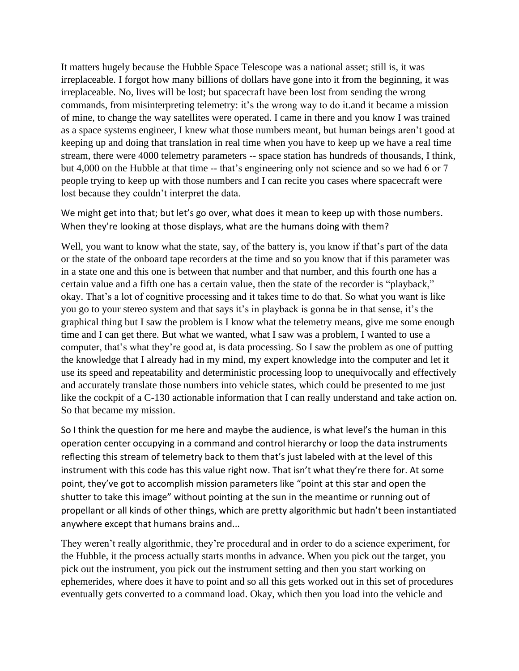It matters hugely because the Hubble Space Telescope was a national asset; still is, it was irreplaceable. I forgot how many billions of dollars have gone into it from the beginning, it was irreplaceable. No, lives will be lost; but spacecraft have been lost from sending the wrong commands, from misinterpreting telemetry: it's the wrong way to do it.and it became a mission of mine, to change the way satellites were operated. I came in there and you know I was trained as a space systems engineer, I knew what those numbers meant, but human beings aren't good at keeping up and doing that translation in real time when you have to keep up we have a real time stream, there were 4000 telemetry parameters -- space station has hundreds of thousands, I think, but 4,000 on the Hubble at that time -- that's engineering only not science and so we had 6 or 7 people trying to keep up with those numbers and I can recite you cases where spacecraft were lost because they couldn't interpret the data.

We might get into that; but let's go over, what does it mean to keep up with those numbers. When they're looking at those displays, what are the humans doing with them?

Well, you want to know what the state, say, of the battery is, you know if that's part of the data or the state of the onboard tape recorders at the time and so you know that if this parameter was in a state one and this one is between that number and that number, and this fourth one has a certain value and a fifth one has a certain value, then the state of the recorder is "playback," okay. That's a lot of cognitive processing and it takes time to do that. So what you want is like you go to your stereo system and that says it's in playback is gonna be in that sense, it's the graphical thing but I saw the problem is I know what the telemetry means, give me some enough time and I can get there. But what we wanted, what I saw was a problem, I wanted to use a computer, that's what they're good at, is data processing. So I saw the problem as one of putting the knowledge that I already had in my mind, my expert knowledge into the computer and let it use its speed and repeatability and deterministic processing loop to unequivocally and effectively and accurately translate those numbers into vehicle states, which could be presented to me just like the cockpit of a C-130 actionable information that I can really understand and take action on. So that became my mission.

So I think the question for me here and maybe the audience, is what level's the human in this operation center occupying in a command and control hierarchy or loop the data instruments reflecting this stream of telemetry back to them that's just labeled with at the level of this instrument with this code has this value right now. That isn't what they're there for. At some point, they've got to accomplish mission parameters like "point at this star and open the shutter to take this image" without pointing at the sun in the meantime or running out of propellant or all kinds of other things, which are pretty algorithmic but hadn't been instantiated anywhere except that humans brains and...

They weren't really algorithmic, they're procedural and in order to do a science experiment, for the Hubble, it the process actually starts months in advance. When you pick out the target, you pick out the instrument, you pick out the instrument setting and then you start working on ephemerides, where does it have to point and so all this gets worked out in this set of procedures eventually gets converted to a command load. Okay, which then you load into the vehicle and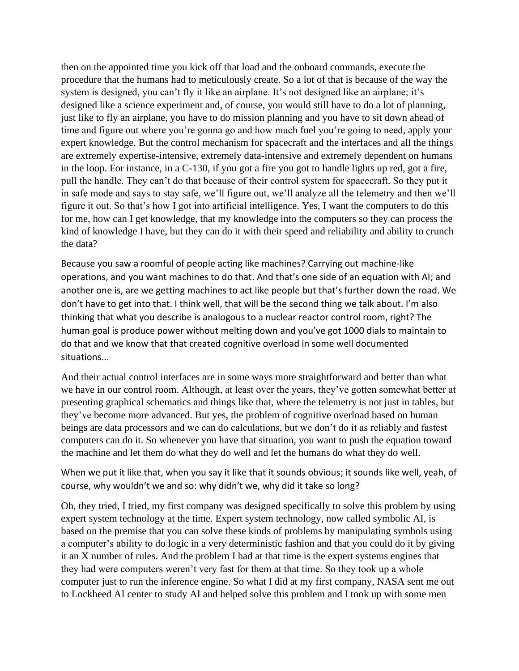then on the appointed time you kick off that load and the onboard commands, execute the procedure that the humans had to meticulously create. So a lot of that is because of the way the system is designed, you can't fly it like an airplane. It's not designed like an airplane; it's designed like a science experiment and, of course, you would still have to do a lot of planning, just like to fly an airplane, you have to do mission planning and you have to sit down ahead of time and figure out where you're gonna go and how much fuel you're going to need, apply your expert knowledge. But the control mechanism for spacecraft and the interfaces and all the things are extremely expertise-intensive, extremely data-intensive and extremely dependent on humans in the loop. For instance, in a C-130, if you got a fire you got to handle lights up red, got a fire, pull the handle. They can't do that because of their control system for spacecraft. So they put it in safe mode and says to stay safe, we'll figure out, we'll analyze all the telemetry and then we'll figure it out. So that's how I got into artificial intelligence. Yes, I want the computers to do this for me, how can I get knowledge, that my knowledge into the computers so they can process the kind of knowledge I have, but they can do it with their speed and reliability and ability to crunch the data?

Because you saw a roomful of people acting like machines? Carrying out machine-like operations, and you want machines to do that. And that's one side of an equation with AI; and another one is, are we getting machines to act like people but that's further down the road. We don't have to get into that. I think well, that will be the second thing we talk about. I'm also thinking that what you describe is analogous to a nuclear reactor control room, right? The human goal is produce power without melting down and you've got 1000 dials to maintain to do that and we know that that created cognitive overload in some well documented situations...

And their actual control interfaces are in some ways more straightforward and better than what we have in our control room. Although, at least over the years, they've gotten somewhat better at presenting graphical schematics and things like that, where the telemetry is not just in tables, but they've become more advanced. But yes, the problem of cognitive overload based on human beings are data processors and we can do calculations, but we don't do it as reliably and fastest computers can do it. So whenever you have that situation, you want to push the equation toward the machine and let them do what they do well and let the humans do what they do well.

When we put it like that, when you say it like that it sounds obvious; it sounds like well, yeah, of course, why wouldn't we and so: why didn't we, why did it take so long?

Oh, they tried, I tried, my first company was designed specifically to solve this problem by using expert system technology at the time. Expert system technology, now called symbolic AI, is based on the premise that you can solve these kinds of problems by manipulating symbols using a computer's ability to do logic in a very deterministic fashion and that you could do it by giving it an X number of rules. And the problem I had at that time is the expert systems engines that they had were computers weren't very fast for them at that time. So they took up a whole computer just to run the inference engine. So what I did at my first company, NASA sent me out to Lockheed AI center to study AI and helped solve this problem and I took up with some men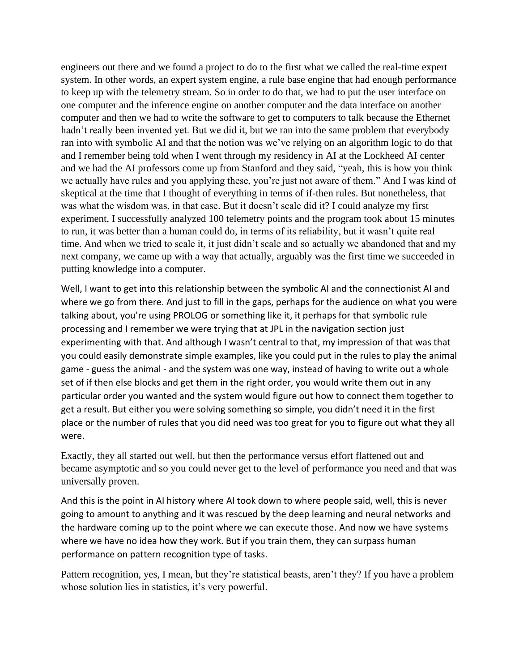engineers out there and we found a project to do to the first what we called the real-time expert system. In other words, an expert system engine, a rule base engine that had enough performance to keep up with the telemetry stream. So in order to do that, we had to put the user interface on one computer and the inference engine on another computer and the data interface on another computer and then we had to write the software to get to computers to talk because the Ethernet hadn't really been invented yet. But we did it, but we ran into the same problem that everybody ran into with symbolic AI and that the notion was we've relying on an algorithm logic to do that and I remember being told when I went through my residency in AI at the Lockheed AI center and we had the AI professors come up from Stanford and they said, "yeah, this is how you think we actually have rules and you applying these, you're just not aware of them." And I was kind of skeptical at the time that I thought of everything in terms of if-then rules. But nonetheless, that was what the wisdom was, in that case. But it doesn't scale did it? I could analyze my first experiment, I successfully analyzed 100 telemetry points and the program took about 15 minutes to run, it was better than a human could do, in terms of its reliability, but it wasn't quite real time. And when we tried to scale it, it just didn't scale and so actually we abandoned that and my next company, we came up with a way that actually, arguably was the first time we succeeded in putting knowledge into a computer.

Well, I want to get into this relationship between the symbolic AI and the connectionist AI and where we go from there. And just to fill in the gaps, perhaps for the audience on what you were talking about, you're using PROLOG or something like it, it perhaps for that symbolic rule processing and I remember we were trying that at JPL in the navigation section just experimenting with that. And although I wasn't central to that, my impression of that was that you could easily demonstrate simple examples, like you could put in the rules to play the animal game - guess the animal - and the system was one way, instead of having to write out a whole set of if then else blocks and get them in the right order, you would write them out in any particular order you wanted and the system would figure out how to connect them together to get a result. But either you were solving something so simple, you didn't need it in the first place or the number of rules that you did need was too great for you to figure out what they all were.

Exactly, they all started out well, but then the performance versus effort flattened out and became asymptotic and so you could never get to the level of performance you need and that was universally proven.

And this is the point in AI history where AI took down to where people said, well, this is never going to amount to anything and it was rescued by the deep learning and neural networks and the hardware coming up to the point where we can execute those. And now we have systems where we have no idea how they work. But if you train them, they can surpass human performance on pattern recognition type of tasks.

Pattern recognition, yes, I mean, but they're statistical beasts, aren't they? If you have a problem whose solution lies in statistics, it's very powerful.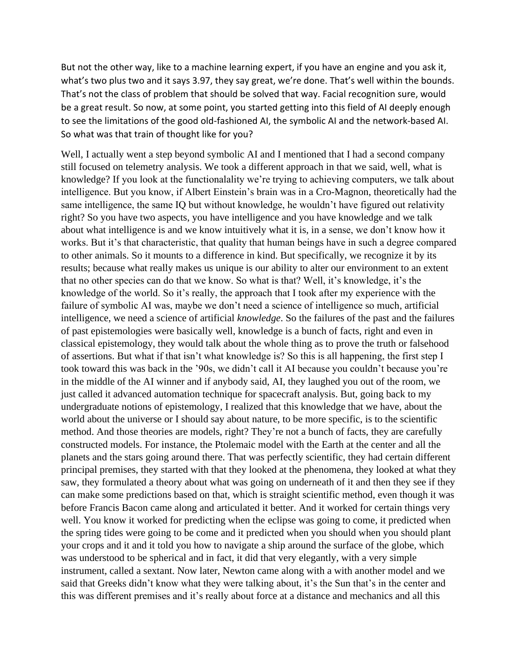But not the other way, like to a machine learning expert, if you have an engine and you ask it, what's two plus two and it says 3.97, they say great, we're done. That's well within the bounds. That's not the class of problem that should be solved that way. Facial recognition sure, would be a great result. So now, at some point, you started getting into this field of AI deeply enough to see the limitations of the good old-fashioned AI, the symbolic AI and the network-based AI. So what was that train of thought like for you?

Well, I actually went a step beyond symbolic AI and I mentioned that I had a second company still focused on telemetry analysis. We took a different approach in that we said, well, what is knowledge? If you look at the functionalality we're trying to achieving computers, we talk about intelligence. But you know, if Albert Einstein's brain was in a Cro-Magnon, theoretically had the same intelligence, the same IQ but without knowledge, he wouldn't have figured out relativity right? So you have two aspects, you have intelligence and you have knowledge and we talk about what intelligence is and we know intuitively what it is, in a sense, we don't know how it works. But it's that characteristic, that quality that human beings have in such a degree compared to other animals. So it mounts to a difference in kind. But specifically, we recognize it by its results; because what really makes us unique is our ability to alter our environment to an extent that no other species can do that we know. So what is that? Well, it's knowledge, it's the knowledge of the world. So it's really, the approach that I took after my experience with the failure of symbolic AI was, maybe we don't need a science of intelligence so much, artificial intelligence, we need a science of artificial *knowledge*. So the failures of the past and the failures of past epistemologies were basically well, knowledge is a bunch of facts, right and even in classical epistemology, they would talk about the whole thing as to prove the truth or falsehood of assertions. But what if that isn't what knowledge is? So this is all happening, the first step I took toward this was back in the '90s, we didn't call it AI because you couldn't because you're in the middle of the AI winner and if anybody said, AI, they laughed you out of the room, we just called it advanced automation technique for spacecraft analysis. But, going back to my undergraduate notions of epistemology, I realized that this knowledge that we have, about the world about the universe or I should say about nature, to be more specific, is to the scientific method. And those theories are models, right? They're not a bunch of facts, they are carefully constructed models. For instance, the Ptolemaic model with the Earth at the center and all the planets and the stars going around there. That was perfectly scientific, they had certain different principal premises, they started with that they looked at the phenomena, they looked at what they saw, they formulated a theory about what was going on underneath of it and then they see if they can make some predictions based on that, which is straight scientific method, even though it was before Francis Bacon came along and articulated it better. And it worked for certain things very well. You know it worked for predicting when the eclipse was going to come, it predicted when the spring tides were going to be come and it predicted when you should when you should plant your crops and it and it told you how to navigate a ship around the surface of the globe, which was understood to be spherical and in fact, it did that very elegantly, with a very simple instrument, called a sextant. Now later, Newton came along with a with another model and we said that Greeks didn't know what they were talking about, it's the Sun that's in the center and this was different premises and it's really about force at a distance and mechanics and all this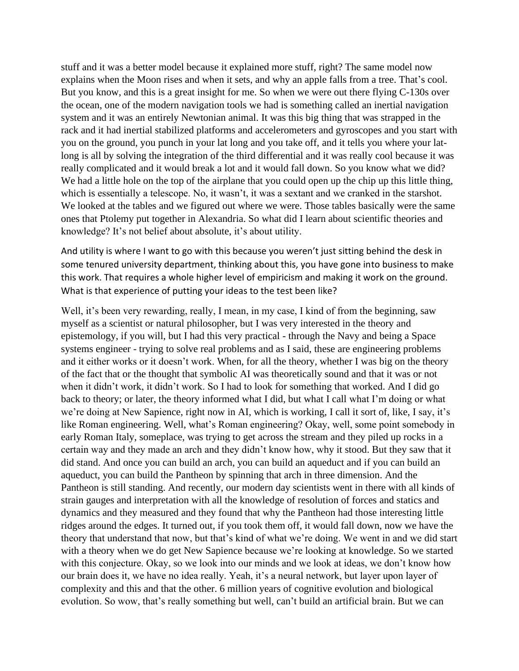stuff and it was a better model because it explained more stuff, right? The same model now explains when the Moon rises and when it sets, and why an apple falls from a tree. That's cool. But you know, and this is a great insight for me. So when we were out there flying C-130s over the ocean, one of the modern navigation tools we had is something called an inertial navigation system and it was an entirely Newtonian animal. It was this big thing that was strapped in the rack and it had inertial stabilized platforms and accelerometers and gyroscopes and you start with you on the ground, you punch in your lat long and you take off, and it tells you where your latlong is all by solving the integration of the third differential and it was really cool because it was really complicated and it would break a lot and it would fall down. So you know what we did? We had a little hole on the top of the airplane that you could open up the chip up this little thing, which is essentially a telescope. No, it wasn't, it was a sextant and we cranked in the starshot. We looked at the tables and we figured out where we were. Those tables basically were the same ones that Ptolemy put together in Alexandria. So what did I learn about scientific theories and knowledge? It's not belief about absolute, it's about utility.

And utility is where I want to go with this because you weren't just sitting behind the desk in some tenured university department, thinking about this, you have gone into business to make this work. That requires a whole higher level of empiricism and making it work on the ground. What is that experience of putting your ideas to the test been like?

Well, it's been very rewarding, really, I mean, in my case, I kind of from the beginning, saw myself as a scientist or natural philosopher, but I was very interested in the theory and epistemology, if you will, but I had this very practical - through the Navy and being a Space systems engineer - trying to solve real problems and as I said, these are engineering problems and it either works or it doesn't work. When, for all the theory, whether I was big on the theory of the fact that or the thought that symbolic AI was theoretically sound and that it was or not when it didn't work, it didn't work. So I had to look for something that worked. And I did go back to theory; or later, the theory informed what I did, but what I call what I'm doing or what we're doing at New Sapience, right now in AI, which is working, I call it sort of, like, I say, it's like Roman engineering. Well, what's Roman engineering? Okay, well, some point somebody in early Roman Italy, someplace, was trying to get across the stream and they piled up rocks in a certain way and they made an arch and they didn't know how, why it stood. But they saw that it did stand. And once you can build an arch, you can build an aqueduct and if you can build an aqueduct, you can build the Pantheon by spinning that arch in three dimension. And the Pantheon is still standing. And recently, our modern day scientists went in there with all kinds of strain gauges and interpretation with all the knowledge of resolution of forces and statics and dynamics and they measured and they found that why the Pantheon had those interesting little ridges around the edges. It turned out, if you took them off, it would fall down, now we have the theory that understand that now, but that's kind of what we're doing. We went in and we did start with a theory when we do get New Sapience because we're looking at knowledge. So we started with this conjecture. Okay, so we look into our minds and we look at ideas, we don't know how our brain does it, we have no idea really. Yeah, it's a neural network, but layer upon layer of complexity and this and that the other. 6 million years of cognitive evolution and biological evolution. So wow, that's really something but well, can't build an artificial brain. But we can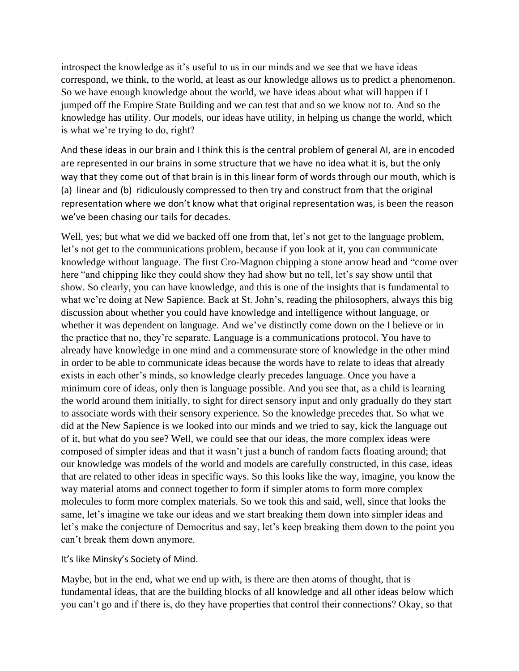introspect the knowledge as it's useful to us in our minds and we see that we have ideas correspond, we think, to the world, at least as our knowledge allows us to predict a phenomenon. So we have enough knowledge about the world, we have ideas about what will happen if I jumped off the Empire State Building and we can test that and so we know not to. And so the knowledge has utility. Our models, our ideas have utility, in helping us change the world, which is what we're trying to do, right?

And these ideas in our brain and I think this is the central problem of general AI, are in encoded are represented in our brains in some structure that we have no idea what it is, but the only way that they come out of that brain is in this linear form of words through our mouth, which is (a) linear and (b) ridiculously compressed to then try and construct from that the original representation where we don't know what that original representation was, is been the reason we've been chasing our tails for decades.

Well, yes; but what we did we backed off one from that, let's not get to the language problem, let's not get to the communications problem, because if you look at it, you can communicate knowledge without language. The first Cro-Magnon chipping a stone arrow head and "come over here "and chipping like they could show they had show but no tell, let's say show until that show. So clearly, you can have knowledge, and this is one of the insights that is fundamental to what we're doing at New Sapience. Back at St. John's, reading the philosophers, always this big discussion about whether you could have knowledge and intelligence without language, or whether it was dependent on language. And we've distinctly come down on the I believe or in the practice that no, they're separate. Language is a communications protocol. You have to already have knowledge in one mind and a commensurate store of knowledge in the other mind in order to be able to communicate ideas because the words have to relate to ideas that already exists in each other's minds, so knowledge clearly precedes language. Once you have a minimum core of ideas, only then is language possible. And you see that, as a child is learning the world around them initially, to sight for direct sensory input and only gradually do they start to associate words with their sensory experience. So the knowledge precedes that. So what we did at the New Sapience is we looked into our minds and we tried to say, kick the language out of it, but what do you see? Well, we could see that our ideas, the more complex ideas were composed of simpler ideas and that it wasn't just a bunch of random facts floating around; that our knowledge was models of the world and models are carefully constructed, in this case, ideas that are related to other ideas in specific ways. So this looks like the way, imagine, you know the way material atoms and connect together to form if simpler atoms to form more complex molecules to form more complex materials. So we took this and said, well, since that looks the same, let's imagine we take our ideas and we start breaking them down into simpler ideas and let's make the conjecture of Democritus and say, let's keep breaking them down to the point you can't break them down anymore.

## It's like Minsky's Society of Mind.

Maybe, but in the end, what we end up with, is there are then atoms of thought, that is fundamental ideas, that are the building blocks of all knowledge and all other ideas below which you can't go and if there is, do they have properties that control their connections? Okay, so that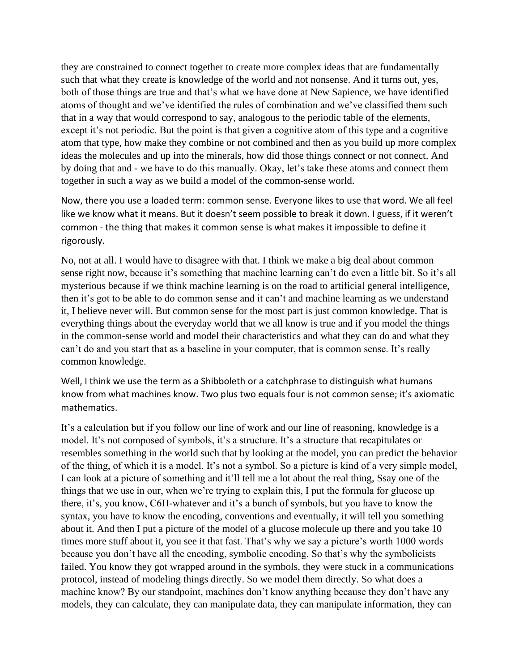they are constrained to connect together to create more complex ideas that are fundamentally such that what they create is knowledge of the world and not nonsense. And it turns out, yes, both of those things are true and that's what we have done at New Sapience, we have identified atoms of thought and we've identified the rules of combination and we've classified them such that in a way that would correspond to say, analogous to the periodic table of the elements, except it's not periodic. But the point is that given a cognitive atom of this type and a cognitive atom that type, how make they combine or not combined and then as you build up more complex ideas the molecules and up into the minerals, how did those things connect or not connect. And by doing that and - we have to do this manually. Okay, let's take these atoms and connect them together in such a way as we build a model of the common-sense world.

Now, there you use a loaded term: common sense. Everyone likes to use that word. We all feel like we know what it means. But it doesn't seem possible to break it down. I guess, if it weren't common - the thing that makes it common sense is what makes it impossible to define it rigorously.

No, not at all. I would have to disagree with that. I think we make a big deal about common sense right now, because it's something that machine learning can't do even a little bit. So it's all mysterious because if we think machine learning is on the road to artificial general intelligence, then it's got to be able to do common sense and it can't and machine learning as we understand it, I believe never will. But common sense for the most part is just common knowledge. That is everything things about the everyday world that we all know is true and if you model the things in the common-sense world and model their characteristics and what they can do and what they can't do and you start that as a baseline in your computer, that is common sense. It's really common knowledge.

Well, I think we use the term as a Shibboleth or a catchphrase to distinguish what humans know from what machines know. Two plus two equals four is not common sense; it's axiomatic mathematics.

It's a calculation but if you follow our line of work and our line of reasoning, knowledge is a model. It's not composed of symbols, it's a structure. It's a structure that recapitulates or resembles something in the world such that by looking at the model, you can predict the behavior of the thing, of which it is a model. It's not a symbol. So a picture is kind of a very simple model, I can look at a picture of something and it'll tell me a lot about the real thing, Ssay one of the things that we use in our, when we're trying to explain this, I put the formula for glucose up there, it's, you know, C6H-whatever and it's a bunch of symbols, but you have to know the syntax, you have to know the encoding, conventions and eventually, it will tell you something about it. And then I put a picture of the model of a glucose molecule up there and you take 10 times more stuff about it, you see it that fast. That's why we say a picture's worth 1000 words because you don't have all the encoding, symbolic encoding. So that's why the symbolicists failed. You know they got wrapped around in the symbols, they were stuck in a communications protocol, instead of modeling things directly. So we model them directly. So what does a machine know? By our standpoint, machines don't know anything because they don't have any models, they can calculate, they can manipulate data, they can manipulate information, they can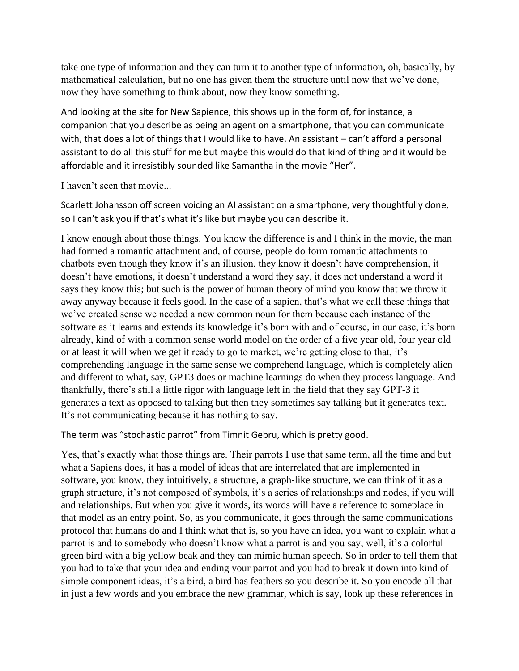take one type of information and they can turn it to another type of information, oh, basically, by mathematical calculation, but no one has given them the structure until now that we've done, now they have something to think about, now they know something.

And looking at the site for New Sapience, this shows up in the form of, for instance, a companion that you describe as being an agent on a smartphone, that you can communicate with, that does a lot of things that I would like to have. An assistant – can't afford a personal assistant to do all this stuff for me but maybe this would do that kind of thing and it would be affordable and it irresistibly sounded like Samantha in the movie "Her".

I haven't seen that movie...

Scarlett Johansson off screen voicing an AI assistant on a smartphone, very thoughtfully done, so I can't ask you if that's what it's like but maybe you can describe it.

I know enough about those things. You know the difference is and I think in the movie, the man had formed a romantic attachment and, of course, people do form romantic attachments to chatbots even though they know it's an illusion, they know it doesn't have comprehension, it doesn't have emotions, it doesn't understand a word they say, it does not understand a word it says they know this; but such is the power of human theory of mind you know that we throw it away anyway because it feels good. In the case of a sapien, that's what we call these things that we've created sense we needed a new common noun for them because each instance of the software as it learns and extends its knowledge it's born with and of course, in our case, it's born already, kind of with a common sense world model on the order of a five year old, four year old or at least it will when we get it ready to go to market, we're getting close to that, it's comprehending language in the same sense we comprehend language, which is completely alien and different to what, say, GPT3 does or machine learnings do when they process language. And thankfully, there's still a little rigor with language left in the field that they say GPT-3 it generates a text as opposed to talking but then they sometimes say talking but it generates text. It's not communicating because it has nothing to say.

The term was "stochastic parrot" from Timnit Gebru, which is pretty good.

Yes, that's exactly what those things are. Their parrots I use that same term, all the time and but what a Sapiens does, it has a model of ideas that are interrelated that are implemented in software, you know, they intuitively, a structure, a graph-like structure, we can think of it as a graph structure, it's not composed of symbols, it's a series of relationships and nodes, if you will and relationships. But when you give it words, its words will have a reference to someplace in that model as an entry point. So, as you communicate, it goes through the same communications protocol that humans do and I think what that is, so you have an idea, you want to explain what a parrot is and to somebody who doesn't know what a parrot is and you say, well, it's a colorful green bird with a big yellow beak and they can mimic human speech. So in order to tell them that you had to take that your idea and ending your parrot and you had to break it down into kind of simple component ideas, it's a bird, a bird has feathers so you describe it. So you encode all that in just a few words and you embrace the new grammar, which is say, look up these references in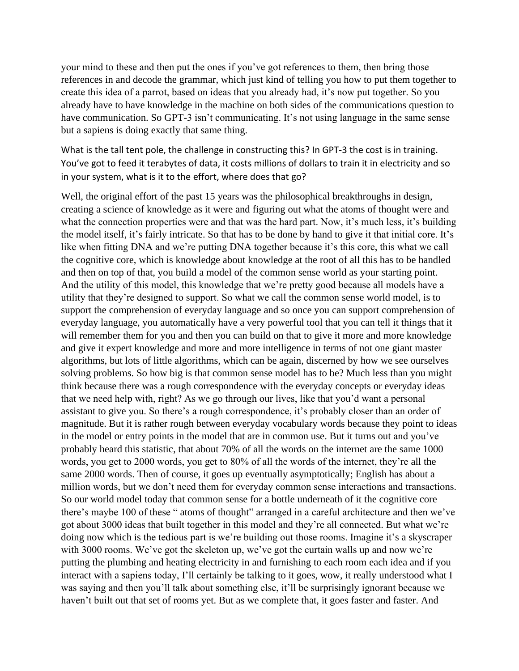your mind to these and then put the ones if you've got references to them, then bring those references in and decode the grammar, which just kind of telling you how to put them together to create this idea of a parrot, based on ideas that you already had, it's now put together. So you already have to have knowledge in the machine on both sides of the communications question to have communication. So GPT-3 isn't communicating. It's not using language in the same sense but a sapiens is doing exactly that same thing.

What is the tall tent pole, the challenge in constructing this? In GPT-3 the cost is in training. You've got to feed it terabytes of data, it costs millions of dollars to train it in electricity and so in your system, what is it to the effort, where does that go?

Well, the original effort of the past 15 years was the philosophical breakthroughs in design, creating a science of knowledge as it were and figuring out what the atoms of thought were and what the connection properties were and that was the hard part. Now, it's much less, it's building the model itself, it's fairly intricate. So that has to be done by hand to give it that initial core. It's like when fitting DNA and we're putting DNA together because it's this core, this what we call the cognitive core, which is knowledge about knowledge at the root of all this has to be handled and then on top of that, you build a model of the common sense world as your starting point. And the utility of this model, this knowledge that we're pretty good because all models have a utility that they're designed to support. So what we call the common sense world model, is to support the comprehension of everyday language and so once you can support comprehension of everyday language, you automatically have a very powerful tool that you can tell it things that it will remember them for you and then you can build on that to give it more and more knowledge and give it expert knowledge and more and more intelligence in terms of not one giant master algorithms, but lots of little algorithms, which can be again, discerned by how we see ourselves solving problems. So how big is that common sense model has to be? Much less than you might think because there was a rough correspondence with the everyday concepts or everyday ideas that we need help with, right? As we go through our lives, like that you'd want a personal assistant to give you. So there's a rough correspondence, it's probably closer than an order of magnitude. But it is rather rough between everyday vocabulary words because they point to ideas in the model or entry points in the model that are in common use. But it turns out and you've probably heard this statistic, that about 70% of all the words on the internet are the same 1000 words, you get to 2000 words, you get to 80% of all the words of the internet, they're all the same 2000 words. Then of course, it goes up eventually asymptotically; English has about a million words, but we don't need them for everyday common sense interactions and transactions. So our world model today that common sense for a bottle underneath of it the cognitive core there's maybe 100 of these " atoms of thought" arranged in a careful architecture and then we've got about 3000 ideas that built together in this model and they're all connected. But what we're doing now which is the tedious part is we're building out those rooms. Imagine it's a skyscraper with 3000 rooms. We've got the skeleton up, we've got the curtain walls up and now we're putting the plumbing and heating electricity in and furnishing to each room each idea and if you interact with a sapiens today, I'll certainly be talking to it goes, wow, it really understood what I was saying and then you'll talk about something else, it'll be surprisingly ignorant because we haven't built out that set of rooms yet. But as we complete that, it goes faster and faster. And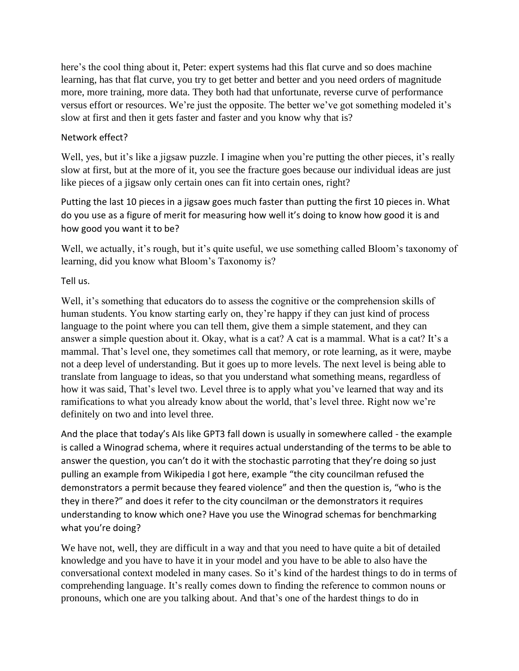here's the cool thing about it, Peter: expert systems had this flat curve and so does machine learning, has that flat curve, you try to get better and better and you need orders of magnitude more, more training, more data. They both had that unfortunate, reverse curve of performance versus effort or resources. We're just the opposite. The better we've got something modeled it's slow at first and then it gets faster and faster and you know why that is?

## Network effect?

Well, yes, but it's like a jigsaw puzzle. I imagine when you're putting the other pieces, it's really slow at first, but at the more of it, you see the fracture goes because our individual ideas are just like pieces of a jigsaw only certain ones can fit into certain ones, right?

Putting the last 10 pieces in a jigsaw goes much faster than putting the first 10 pieces in. What do you use as a figure of merit for measuring how well it's doing to know how good it is and how good you want it to be?

Well, we actually, it's rough, but it's quite useful, we use something called Bloom's taxonomy of learning, did you know what Bloom's Taxonomy is?

Tell us.

Well, it's something that educators do to assess the cognitive or the comprehension skills of human students. You know starting early on, they're happy if they can just kind of process language to the point where you can tell them, give them a simple statement, and they can answer a simple question about it. Okay, what is a cat? A cat is a mammal. What is a cat? It's a mammal. That's level one, they sometimes call that memory, or rote learning, as it were, maybe not a deep level of understanding. But it goes up to more levels. The next level is being able to translate from language to ideas, so that you understand what something means, regardless of how it was said, That's level two. Level three is to apply what you've learned that way and its ramifications to what you already know about the world, that's level three. Right now we're definitely on two and into level three.

And the place that today's AIs like GPT3 fall down is usually in somewhere called - the example is called a Winograd schema, where it requires actual understanding of the terms to be able to answer the question, you can't do it with the stochastic parroting that they're doing so just pulling an example from Wikipedia I got here, example "the city councilman refused the demonstrators a permit because they feared violence" and then the question is, "who is the they in there?" and does it refer to the city councilman or the demonstrators it requires understanding to know which one? Have you use the Winograd schemas for benchmarking what you're doing?

We have not, well, they are difficult in a way and that you need to have quite a bit of detailed knowledge and you have to have it in your model and you have to be able to also have the conversational context modeled in many cases. So it's kind of the hardest things to do in terms of comprehending language. It's really comes down to finding the reference to common nouns or pronouns, which one are you talking about. And that's one of the hardest things to do in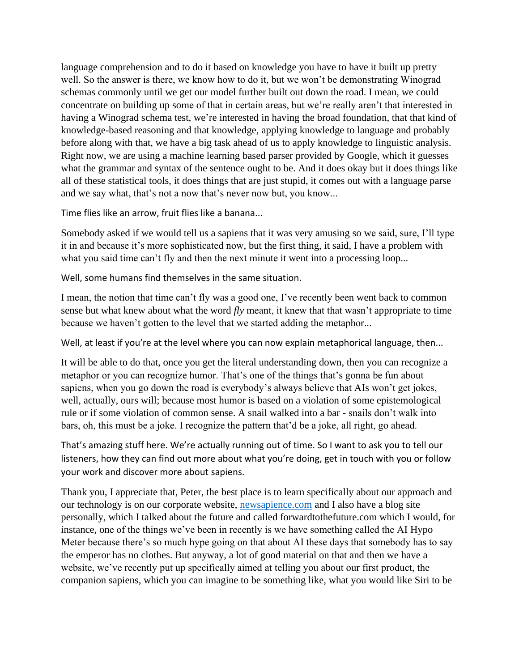language comprehension and to do it based on knowledge you have to have it built up pretty well. So the answer is there, we know how to do it, but we won't be demonstrating Winograd schemas commonly until we get our model further built out down the road. I mean, we could concentrate on building up some of that in certain areas, but we're really aren't that interested in having a Winograd schema test, we're interested in having the broad foundation, that that kind of knowledge-based reasoning and that knowledge, applying knowledge to language and probably before along with that, we have a big task ahead of us to apply knowledge to linguistic analysis. Right now, we are using a machine learning based parser provided by Google, which it guesses what the grammar and syntax of the sentence ought to be. And it does okay but it does things like all of these statistical tools, it does things that are just stupid, it comes out with a language parse and we say what, that's not a now that's never now but, you know...

Time flies like an arrow, fruit flies like a banana...

Somebody asked if we would tell us a sapiens that it was very amusing so we said, sure, I'll type it in and because it's more sophisticated now, but the first thing, it said, I have a problem with what you said time can't fly and then the next minute it went into a processing loop...

Well, some humans find themselves in the same situation.

I mean, the notion that time can't fly was a good one, I've recently been went back to common sense but what knew about what the word *fly* meant, it knew that that wasn't appropriate to time because we haven't gotten to the level that we started adding the metaphor...

Well, at least if you're at the level where you can now explain metaphorical language, then...

It will be able to do that, once you get the literal understanding down, then you can recognize a metaphor or you can recognize humor. That's one of the things that's gonna be fun about sapiens, when you go down the road is everybody's always believe that AIs won't get jokes, well, actually, ours will; because most humor is based on a violation of some epistemological rule or if some violation of common sense. A snail walked into a bar - snails don't walk into bars, oh, this must be a joke. I recognize the pattern that'd be a joke, all right, go ahead.

That's amazing stuff here. We're actually running out of time. So I want to ask you to tell our listeners, how they can find out more about what you're doing, get in touch with you or follow your work and discover more about sapiens.

Thank you, I appreciate that, Peter, the best place is to learn specifically about our approach and our technology is on our corporate website, [newsapience.com](https://newsapience.com/) and I also have a blog site personally, which I talked about the future and called forwardtothefuture.com which I would, for instance, one of the things we've been in recently is we have something called the AI Hypo Meter because there's so much hype going on that about AI these days that somebody has to say the emperor has no clothes. But anyway, a lot of good material on that and then we have a website, we've recently put up specifically aimed at telling you about our first product, the companion sapiens, which you can imagine to be something like, what you would like Siri to be